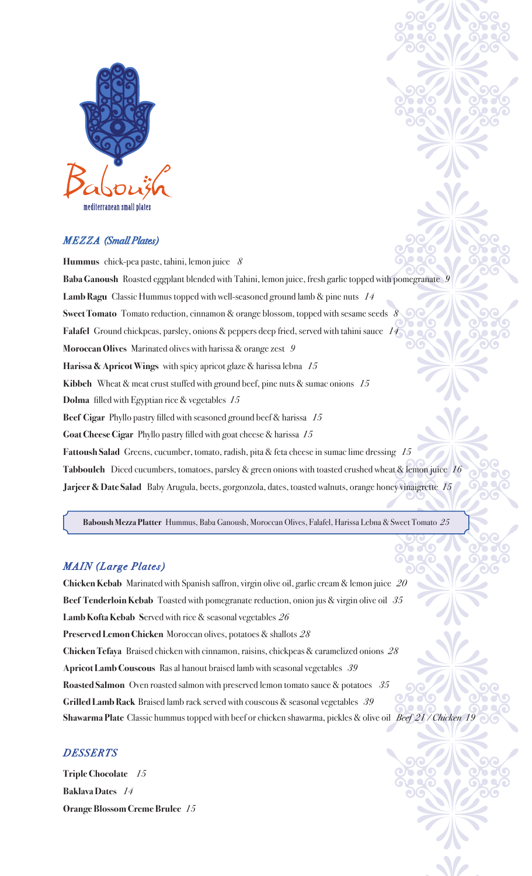

## *M E Z Z A (Small Plates)*

**Hummus** chick-pea paste, tahini, lemon juice *8* **Baba Ganoush** Roasted eggplant blended with Tahini, lemon juice, fresh garlic topped with pomegranate*9* **Lamb Ragu** Classic Hummus topped with well-seasoned ground lamb & pine nuts *14* **Sweet Tomato** Tomato reduction, cinnamon & orange blossom, topped with sesame seeds *8* **Falafel** Ground chickpeas, parsley, onions & peppers deep fried, served with tahini sauce *14* **Moroccan Olives** Marinated olives with harissa & orange zest *9* **Harissa & Apricot Wings** with spicy apricot glaze & harissa lebna *15* **Kibbeh**Wheat & meat crust stuffed with ground beef, pine nuts & sumac onions *15* **Dolma** filled with Egyptian rice & vegetables *15* **Beef Cigar** Phyllo pastry filled with seasoned ground beef & harissa *15* **Goat Cheese Cigar** Phyllo pastry filled with goat cheese & harissa *15* **Fattoush Salad** Greens, cucumber, tomato, radish, pita & feta cheese in sumac lime dressing *15* **Tabbouleh** Diced cucumbers, tomatoes, parsley & green onions with toasted crushed wheat & lemon juice*16* **Jarjeer & Date Salad** Baby Arugula, beets, gorgonzola, dates, toasted walnuts, orange honey vinaigrette *15*

**Baboush Mezza Platter** Hummus, Baba Ganoush, Moroccan Olives, Falafel, Harissa Lebna & Sweet Tomato *25*

## *MAIN (Large Plates)*

**Chicken Kebab** Marinated with Spanish saffron, virgin olive oil, garlic cream & lemon juice *20* **Beef Tenderloin Kebab** Toasted with pomegranate reduction, onion jus & virgin olive oil *35* **Lamb Kofta Kebab S**erved with rice & seasonal vegetables*26* **Preserved Lemon Chicken** Moroccan olives, potatoes & shallots*28* **Chicken Tefaya** Braised chicken with cinnamon, raisins, chickpeas & caramelized onions*28* **Apricot Lamb Couscous** Ras al hanout braised lamb with seasonal vegetables *39* **Roasted Salmon** Oven roasted salmon with preserved lemon tomato sauce & potatoes *35* **Grilled Lamb Rack** Braised lamb rack served with couscous & seasonal vegetables *39* **Shawarma Plate** Classic hummus topped with beef or chicken shawarma, pickles & olive oil *Beef 21 / Chicken 19*

### *DESSERTS*

**Triple Chocolate** *15* **Baklava Dates** *14* **Orange Blossom Creme Brulee** *15*